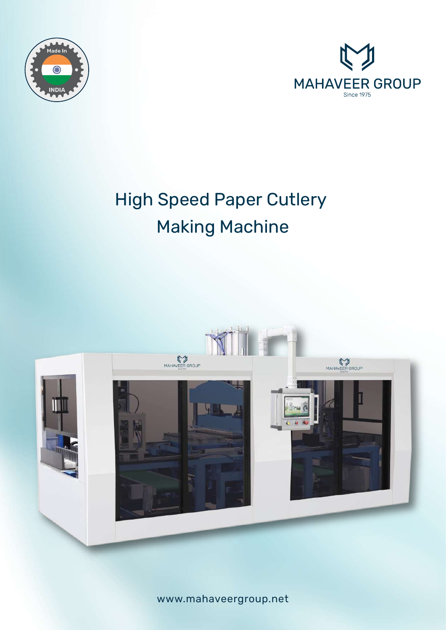



# High Speed Paper Cutlery Making Machine



www.mahaveergroup.net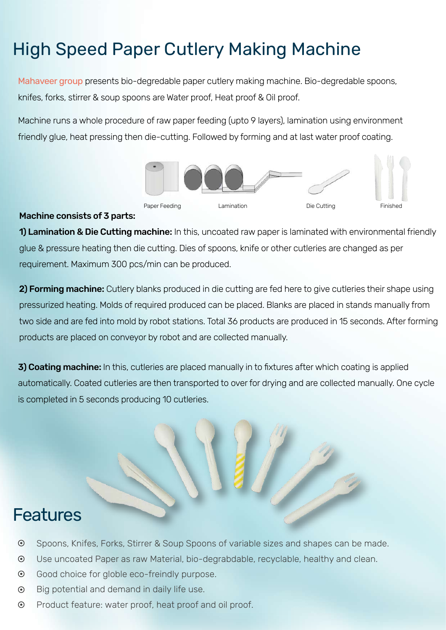## High Speed Paper Cutlery Making Machine

Mahaveer group presents bio-degredable paper cutlery making machine. Bio-degredable spoons, knifes, forks, stirrer & soup spoons are Water proof, Heat proof & Oil proof.

Machine runs a whole procedure of raw paper feeding (upto 9 layers), lamination using environment friendly glue, heat pressing then die-cutting. Followed by forming and at last water proof coating.



#### Machine consists of 3 parts:

1) Lamination & Die Cutting machine: In this, uncoated raw paper is laminated with environmental friendly glue & pressure heating then die cutting. Dies of spoons, knife or other cutleries are changed as per requirement. Maximum 300 pcs/min can be produced.

2) Forming machine: Cutlery blanks produced in die cutting are fed here to give cutleries their shape using pressurized heating. Molds of required produced can be placed. Blanks are placed in stands manually from two side and are fed into mold by robot stations. Total 36 products are produced in 15 seconds. After forming products are placed on conveyor by robot and are collected manually.

**3) Coating machine:** In this, cutleries are placed manually in to fixtures after which coating is applied automatically. Coated cutleries are then transported to over for drying and are collected manually. One cycle is completed in 5 seconds producing 10 cutleries.



### **Features**

- $\odot$ Spoons, Knifes, Forks, Stirrer & Soup Spoons of variable sizes and shapes can be made.
- $\odot$ Use uncoated Paper as raw Material, bio-degrabdable, recyclable, healthy and clean.
- $\odot$ Good choice for globle eco-freindly purpose.
- $\odot$ Big potential and demand in daily life use.
- $\odot$ Product feature: water proof, heat proof and oil proof.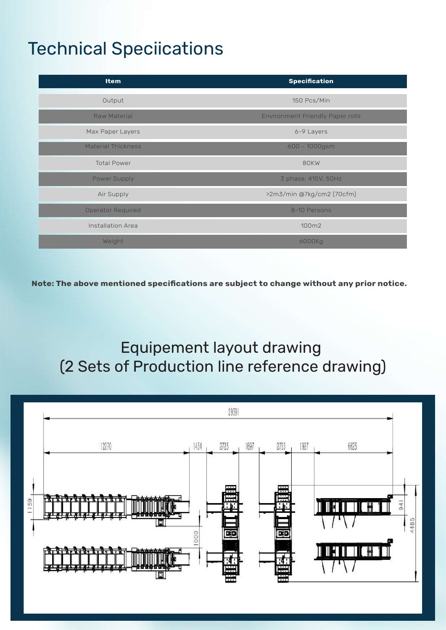## Technical Speciications

| <b>Item</b>               | <b>Specification</b>                    |
|---------------------------|-----------------------------------------|
| Output                    | 150 Pcs/Min                             |
| <b>Raw Material</b>       | <b>Environment Friendly Paper rolls</b> |
| Max Paper Layers          | 6-9 Layers                              |
| <b>Material Thickness</b> | 600 - 1000gsm                           |
| <b>Total Power</b>        | 80KW                                    |
| Power Supply              | 3 phase, 415V, 50Hz                     |
| Air Supply                | >2m3/min @7kg/cm2 (70cfm)               |
| <b>Operator Required</b>  | 8-10 Persons                            |
| <b>Installation Area</b>  | 100m2                                   |
| Weight                    | 6000Kg                                  |

Note: The above mentioned specifications are subject to change without any prior notice.

### Equipement layout drawing (2 Sets of Production line reference drawing)